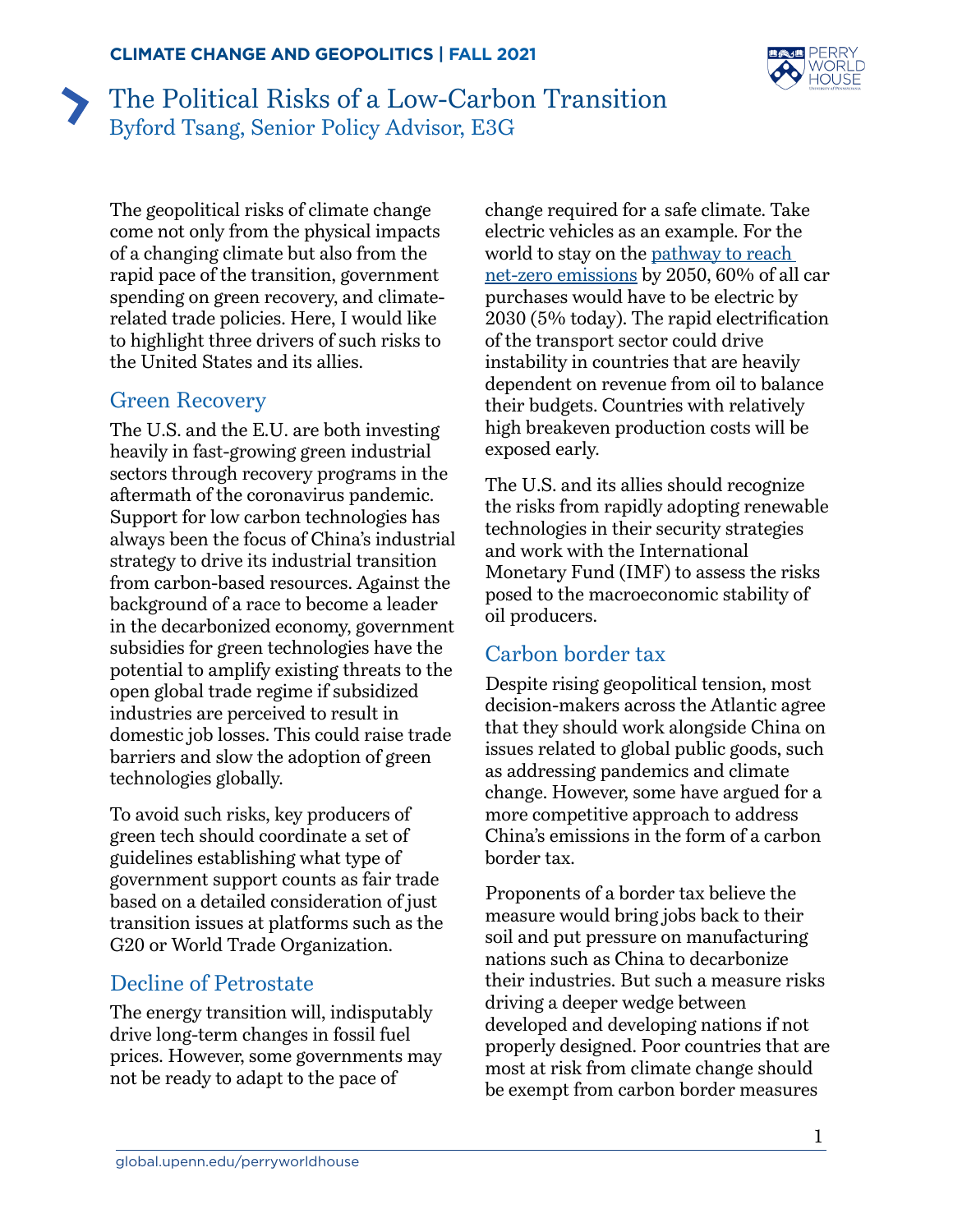

# The Political Risks of a Low-Carbon Transition Byford Tsang, Senior Policy Advisor, E3G

The geopolitical risks of climate change come not only from the physical impacts of a changing climate but also from the rapid pace of the transition, government spending on green recovery, and climaterelated trade policies. Here, I would like to highlight three drivers of such risks to the United States and its allies.

#### Green Recovery

The U.S. and the E.U. are both investing heavily in fast-growing green industrial sectors through recovery programs in the aftermath of the coronavirus pandemic. Support for low carbon technologies has always been the focus of China's industrial strategy to drive its industrial transition from carbon-based resources. Against the background of a race to become a leader in the decarbonized economy, government subsidies for green technologies have the potential to amplify existing threats to the open global trade regime if subsidized industries are perceived to result in domestic job losses. This could raise trade barriers and slow the adoption of green technologies globally.

To avoid such risks, key producers of green tech should coordinate a set of guidelines establishing what type of government support counts as fair trade based on a detailed consideration of just transition issues at platforms such as the G20 or World Trade Organization.

### Decline of Petrostate

The energy transition will, indisputably drive long-term changes in fossil fuel prices. However, some governments may not be ready to adapt to the pace of

change required for a safe climate. Take electric vehicles as an example. For the world to stay on the [pathway to reach](https://www.iea.org/reports/net-zero-by-2050)  [net-zero emissions](https://www.iea.org/reports/net-zero-by-2050) by 2050, 60% of all car purchases would have to be electric by 2030 (5% today). The rapid electrification of the transport sector could drive instability in countries that are heavily dependent on revenue from oil to balance their budgets. Countries with relatively high breakeven production costs will be exposed early.

The U.S. and its allies should recognize the risks from rapidly adopting renewable technologies in their security strategies and work with the International Monetary Fund (IMF) to assess the risks posed to the macroeconomic stability of oil producers.

## Carbon border tax

Despite rising geopolitical tension, most decision-makers across the Atlantic agree that they should work alongside China on issues related to global public goods, such as addressing pandemics and climate change. However, some have argued for a more competitive approach to address China's emissions in the form of a carbon border tax.

Proponents of a border tax believe the measure would bring jobs back to their soil and put pressure on manufacturing nations such as China to decarbonize their industries. But such a measure risks driving a deeper wedge between developed and developing nations if not properly designed. Poor countries that are most at risk from climate change should be exempt from carbon border measures